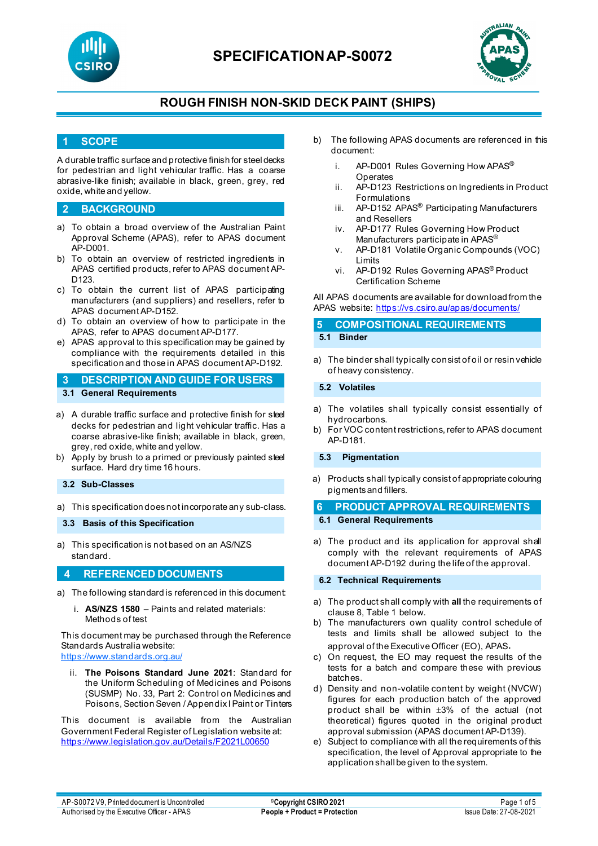



### **ROUGH FINISH NON-SKID DECK PAINT (SHIPS)**

### **1 SCOPE**

A durable traffic surface and protective finish for steel decks for pedestrian and light vehicular traffic. Has a coarse abrasive-like finish; available in black, green, grey, red oxide, white and yellow.

### **2 BACKGROUND**

- a) To obtain a broad overview of the Australian Paint Approval Scheme (APAS), refer to APAS document AP-D001.
- b) To obtain an overview of restricted ingredients in APAS certified products, refer to APAS document AP-D<sub>123</sub>
- c) To obtain the current list of APAS participating manufacturers (and suppliers) and resellers, refer to APAS document AP-D152.
- d) To obtain an overview of how to participate in the APAS, refer to APAS document AP-D177.
- e) APAS approval to this specification may be gained by compliance with the requirements detailed in this specification and those in APAS document AP-D192.

### **3 DESCRIPTION AND GUIDE FOR USERS 3.1 General Requirements**

- a) A durable traffic surface and protective finish for steel decks for pedestrian and light vehicular traffic. Has a coarse abrasive-like finish; available in black, green, grey, red oxide, white and yellow.
- b) Apply by brush to a primed or previously painted steel surface. Hard dry time 16 hours.

#### **3.2 Sub-Classes**

a) This specification does not incorporate any sub-class.

#### **3.3 Basis of this Specification**

a) This specification is not based on an AS/NZS standard.

#### **4 REFERENCED DOCUMENTS**

- a) The following standard is referenced in this document:
	- i. **AS/NZS 1580** Paints and related materials: Methods of test

This document may be purchased through the Reference Standards Australia website: <https://www.standards.org.au/>

ii. **The Poisons Standard June 2021**: Standard for the Uniform Scheduling of Medicines and Poisons (SUSMP) No. 33, Part 2: Control on Medicines and Poisons, Section Seven / Appendix I Paint or Tinters

This document is available from the Australian Government Federal Register of Legislation website at: <https://www.legislation.gov.au/Details/F2021L00650>

- b) The following APAS documents are referenced in this document:
	- i. AP-D001 Rules Governing How APAS<sup>®</sup> **Operates**
	- ii. AP-D123 Restrictions on Ingredients in Product Formulations
	- iii. AP-D152 APAS<sup>®</sup> Participating Manufacturers and Resellers
	- iv. AP-D177 Rules Governing How Product Manufacturers participate in APAS®
	- v. AP-D181 Volatile Organic Compounds (VOC) Limits
	- vi. AP-D192 Rules Governing APAS® Product Certification Scheme

All APAS documents are available for download from the APAS website: <https://vs.csiro.au/apas/documents/>

# **5 COMPOSITIONAL REQUIREMENTS**

### **5.1 Binder**

a) The binder shall typically consist of oil or resin vehicle of heavy consistency.

#### **5.2 Volatiles**

- a) The volatiles shall typically consist essentially of hydrocarbons.
- b) For VOC content restrictions, refer to APAS document AP-D181.

#### **5.3 Pigmentation**

a) Products shall typically consist of appropriate colouring pigmentsand fillers.

## **6 PRODUCT APPROVAL REQUIREMENTS**

- **6.1 General Requirements**
- a) The product and its application for approval shall comply with the relevant requirements of APAS document AP-D192 during the life of the approval.

#### **6.2 Technical Requirements**

- a) The product shall comply with **all** the requirements of clause 8, Table 1 below.
- b) The manufacturers own quality control schedule of tests and limits shall be allowed subject to the approval of the Executive Officer (EO), APAS.
- c) On request, the EO may request the results of the tests for a batch and compare these with previous batches.
- d) Density and non-volatile content by weight (NVCW) figures for each production batch of the approved product shall be within ±3% of the actual (not theoretical) figures quoted in the original product approval submission (APAS document AP-D139).
- e) Subject to compliance with all the requirements of this specification, the level of Approval appropriate to the application shall be given to the system.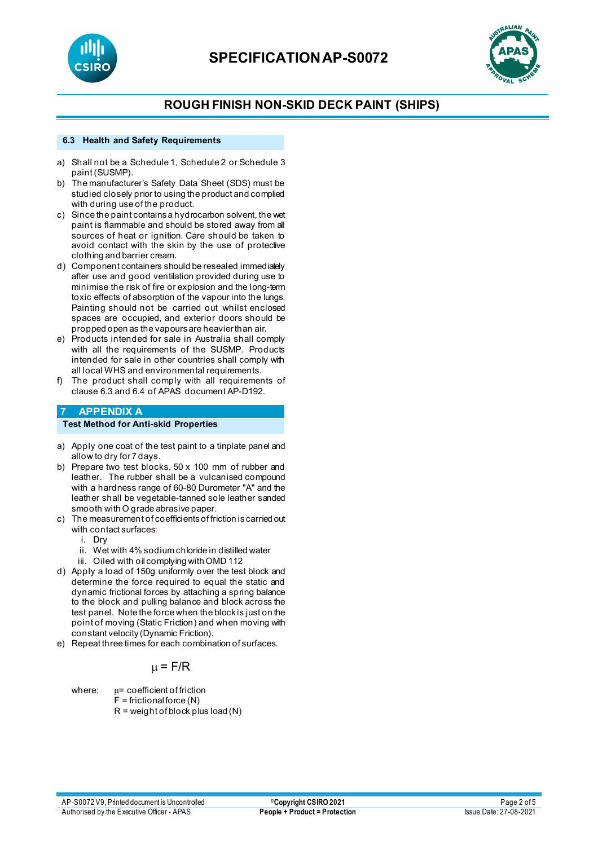



## **ROUGH FINISH NON-SKID DECK PAINT (SHIPS)**

#### **6.3 Health and Safety Requirements**

- a) Shall not be a Schedule 1, Schedule 2 or Schedule 3 paint (SUSMP).
- b) The manufacturer's Safety Data Sheet (SDS) must be studied closely prior to using the product and complied with during use of the product.
- c) Since the paint containsa hydrocarbon solvent, the wet paint is flammable and should be stored away from all sources of heat or ignition. Care should be taken to avoid contact with the skin by the use of protective clothing and barrier cream.
- d) Component containers should be resealed immediately after use and good ventilation provided during use to minimise the risk of fire or explosion and the long-term toxic effects of absorption of the vapour into the lungs. Painting should not be carried out whilst enclosed spaces are occupied, and exterior doors should be propped open as the vapours are heavier than air.
- e) Products intended for sale in Australia shall comply with all the requirements of the SUSMP. Products intended for sale in other countries shall comply with all local WHS and environmental requirements.
- f) The product shall comply with all requirements of clause 6.3 and 6.4 of APAS document AP-D192.

### **7 APPENDIX A**

#### **Test Method for Anti-skid Properties**

- a) Apply one coat of the test paint to a tinplate panel and allow to dry for 7 days.
- b) Prepare two test blocks, 50 x 100 mm of rubber and leather. The rubber shall be a vulcanised compound with a hardness range of 60-80 Durometer "A" and the leather shall be vegetable-tanned sole leather sanded smooth with O grade abrasive paper.
- c) The measurement of coefficients of friction is carried out with contact surfaces:
	- i. Dry
	- ii. Wet with 4% sodium chloride in distilled water
	- iii. Oiled with oil complying with OMD 112
- d) Apply a load of 150g uniformly over the test block and determine the force required to equal the static and dynamic frictional forces by attaching a spring balance to the block and pulling balance and block across the test panel. Note the force when the block is just on the point of moving (Static Friction) and when moving with constant velocity (Dynamic Friction).
- e) Repeat three times for each combination of surfaces.

### $\mu$  = F/R

where:  $\mu$ = coefficient of friction  $F =$  frictional force  $(N)$  $R = weight of block plus load (N)$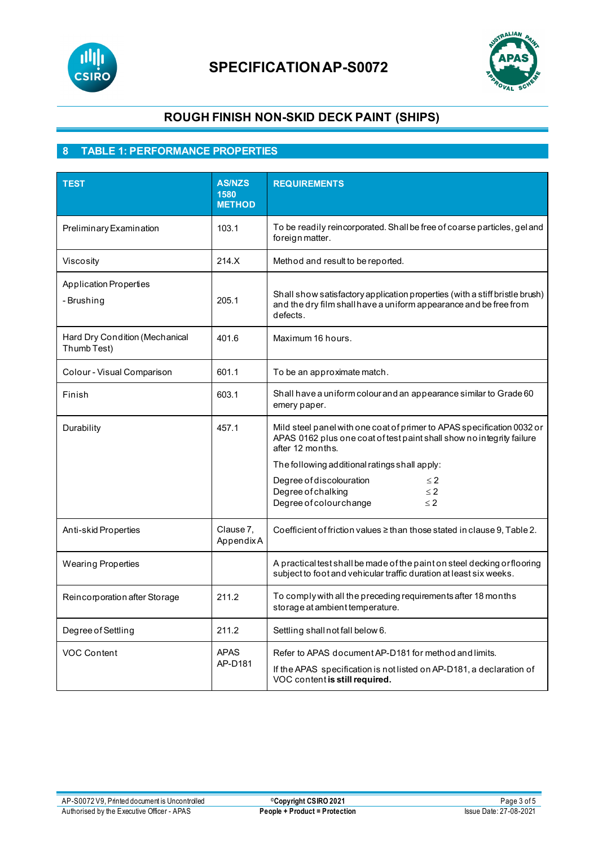



# **ROUGH FINISH NON-SKID DECK PAINT (SHIPS)**

## **8 TABLE 1: PERFORMANCE PROPERTIES**

| <b>TEST</b>                                   | <b>AS/NZS</b><br>1580<br><b>METHOD</b> | <b>REQUIREMENTS</b>                                                                                                                                                                                                                                                                                                                   |  |
|-----------------------------------------------|----------------------------------------|---------------------------------------------------------------------------------------------------------------------------------------------------------------------------------------------------------------------------------------------------------------------------------------------------------------------------------------|--|
| Preliminary Examination                       | 103.1                                  | To be readily reincorporated. Shall be free of coarse particles, gel and<br>foreign matter.                                                                                                                                                                                                                                           |  |
| Viscosity                                     | 214.X                                  | Method and result to be reported.                                                                                                                                                                                                                                                                                                     |  |
| <b>Application Properties</b><br>- Brushing   | 205.1                                  | Shall show satisfactory application properties (with a stiff bristle brush)<br>and the dry film shall have a uniform appearance and be free from<br>defects.                                                                                                                                                                          |  |
| Hard Dry Condition (Mechanical<br>Thumb Test) | 401.6                                  | Maximum 16 hours.                                                                                                                                                                                                                                                                                                                     |  |
| Colour - Visual Comparison                    | 601.1                                  | To be an approximate match.                                                                                                                                                                                                                                                                                                           |  |
| Finish                                        | 603.1                                  | Shall have a uniform colour and an appearance similar to Grade 60<br>emery paper.                                                                                                                                                                                                                                                     |  |
| Durability                                    | 457.1                                  | Mild steel panel with one coat of primer to APAS specification 0032 or<br>APAS 0162 plus one coat of test paint shall show no integrity failure<br>after 12 months.<br>The following additional ratings shall apply:<br>Degree of discolouration<br>$\leq$ 2<br>Degree of chalking<br>$\leq$ 2<br>Degree of colour change<br>$\leq$ 2 |  |
| Anti-skid Properties                          | Clause 7,<br>AppendixA                 | Coefficient of friction values $\geq$ than those stated in clause 9, Table 2.                                                                                                                                                                                                                                                         |  |
| <b>Wearing Properties</b>                     |                                        | A practical test shall be made of the paint on steel decking or flooring<br>subject to foot and vehicular traffic duration at least six weeks.                                                                                                                                                                                        |  |
| Reincorporation after Storage                 | 211.2                                  | To comply with all the preceding requirements after 18 months<br>storage at ambient temperature.                                                                                                                                                                                                                                      |  |
| Degree of Settling                            | 211.2                                  | Settling shall not fall below 6.                                                                                                                                                                                                                                                                                                      |  |
| <b>VOC Content</b>                            | <b>APAS</b><br>AP-D181                 | Refer to APAS document AP-D181 for method and limits.<br>If the APAS specification is not listed on AP-D181, a declaration of<br>VOC content is still required.                                                                                                                                                                       |  |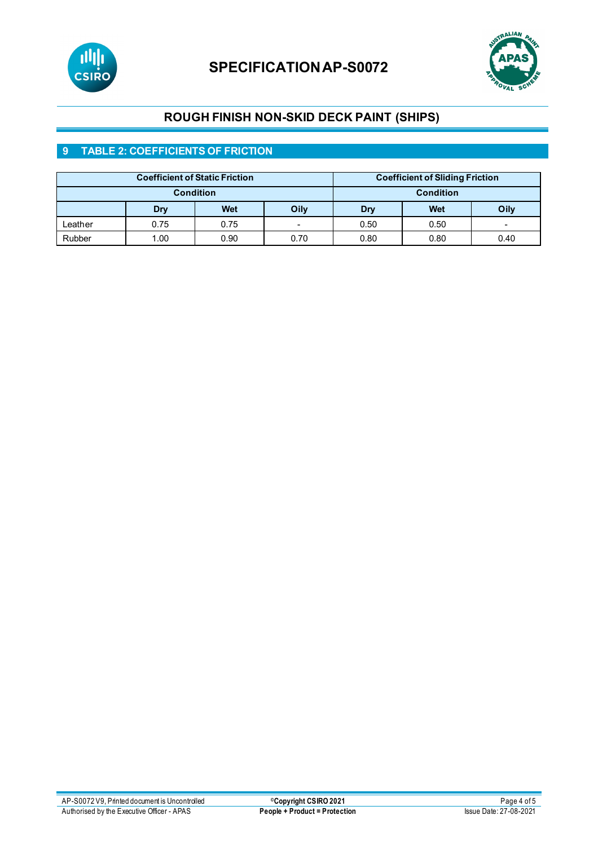



# **ROUGH FINISH NON-SKID DECK PAINT (SHIPS)**

## **9 TABLE 2: COEFFICIENTS OF FRICTION**

| <b>Coefficient of Static Friction</b> |      |      | <b>Coefficient of Sliding Friction</b> |      |      |                          |
|---------------------------------------|------|------|----------------------------------------|------|------|--------------------------|
| <b>Condition</b>                      |      |      | <b>Condition</b>                       |      |      |                          |
|                                       | Dry  | Wet  | Oily                                   | Dry  | Wet  | Oily                     |
| ∟eather                               | 0.75 | 0.75 | $\overline{\phantom{0}}$               | 0.50 | 0.50 | $\overline{\phantom{0}}$ |
| Rubber                                | 1.00 | 0.90 | 0.70                                   | 0.80 | 0.80 | 0.40                     |